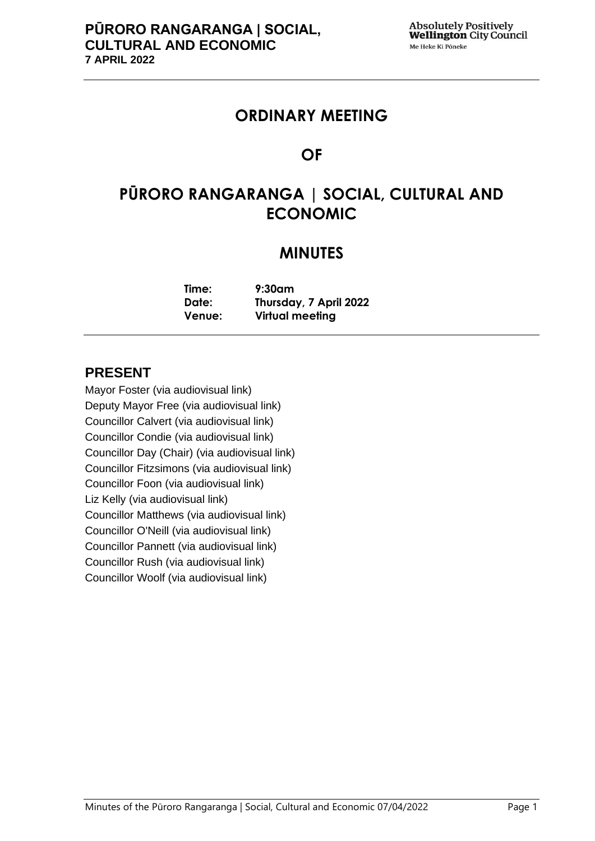# **ORDINARY MEETING**

# **OF**

# **PŪRORO RANGARANGA | SOCIAL, CULTURAL AND ECONOMIC**

# **MINUTES**

| Time:  | $9:30$ am              |
|--------|------------------------|
| Date:  | Thursday, 7 April 2022 |
| Venue: | Virtual meeting        |

# **PRESENT**

Mayor Foster (via audiovisual link) Deputy Mayor Free (via audiovisual link) Councillor Calvert (via audiovisual link) Councillor Condie (via audiovisual link) Councillor Day (Chair) (via audiovisual link) Councillor Fitzsimons (via audiovisual link) Councillor Foon (via audiovisual link) Liz Kelly (via audiovisual link) Councillor Matthews (via audiovisual link) Councillor O'Neill (via audiovisual link) Councillor Pannett (via audiovisual link) Councillor Rush (via audiovisual link) Councillor Woolf (via audiovisual link)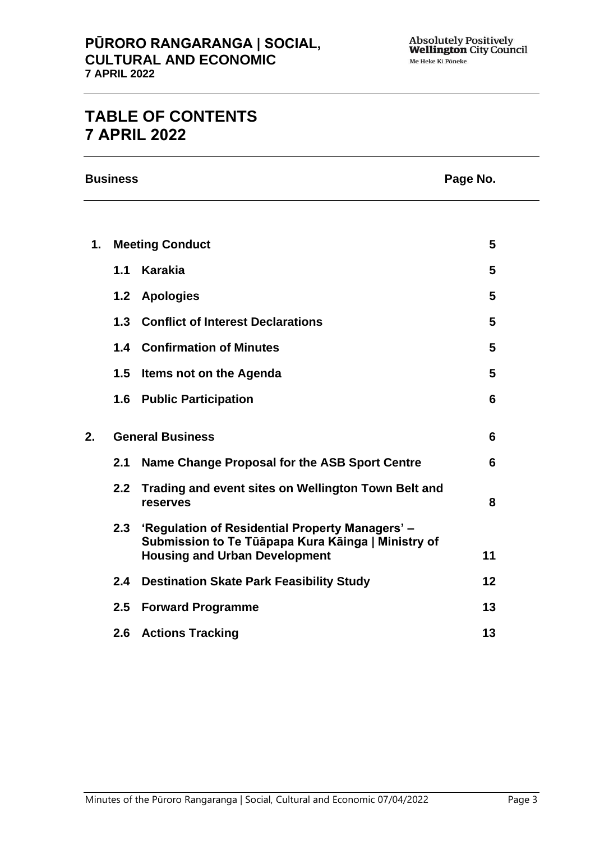# **TABLE OF CONTENTS 7 APRIL 2022**

**Business Page No.**

| 1. | <b>Meeting Conduct</b>  |                                                                                                       | 5  |
|----|-------------------------|-------------------------------------------------------------------------------------------------------|----|
|    |                         | 1.1 Karakia                                                                                           | 5  |
|    |                         | 1.2 Apologies                                                                                         | 5  |
|    | 1.3                     | <b>Conflict of Interest Declarations</b>                                                              | 5  |
|    |                         | <b>1.4 Confirmation of Minutes</b>                                                                    | 5  |
|    | 1.5                     | Items not on the Agenda                                                                               | 5  |
|    |                         | <b>1.6 Public Participation</b>                                                                       | 6  |
| 2. | <b>General Business</b> |                                                                                                       | 6  |
|    | 2.1                     | Name Change Proposal for the ASB Sport Centre                                                         | 6  |
|    | 2.2 <sub>2</sub>        | Trading and event sites on Wellington Town Belt and<br>reserves                                       | 8  |
|    | 2.3                     | 'Regulation of Residential Property Managers' -<br>Submission to Te Tūāpapa Kura Kāinga   Ministry of |    |
|    |                         | <b>Housing and Urban Development</b>                                                                  | 11 |
|    | $2.4^{\circ}$           | <b>Destination Skate Park Feasibility Study</b>                                                       | 12 |
|    | 2.5                     | <b>Forward Programme</b>                                                                              | 13 |
|    | 2.6                     | <b>Actions Tracking</b>                                                                               | 13 |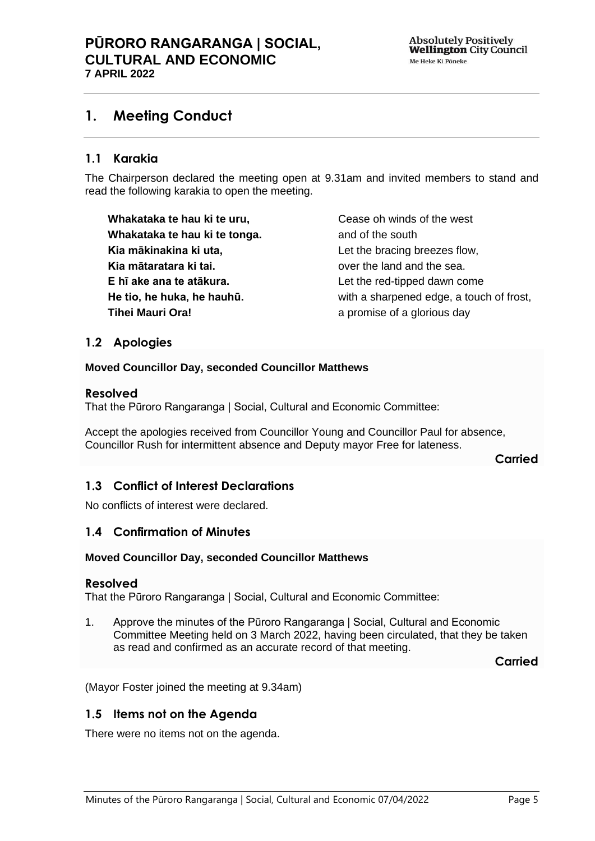# <span id="page-4-0"></span>**1. Meeting Conduct**

# **1.1 Karakia**

The Chairperson declared the meeting open at 9.31am and invited members to stand and read the following karakia to open the meeting.

**Whakataka te hau ki te uru, Whakataka te hau ki te tonga. Kia mākinakina ki uta, Kia mātaratara ki tai. E hī ake ana te atākura. He tio, he huka, he hauhū. Tihei Mauri Ora!**

Cease oh winds of the west and of the south Let the bracing breezes flow, over the land and the sea. Let the red-tipped dawn come with a sharpened edge, a touch of frost, a promise of a glorious day

# <span id="page-4-1"></span>**1.2 Apologies**

#### **Moved Councillor Day, seconded Councillor Matthews**

#### **Resolved**

That the Pūroro Rangaranga | Social, Cultural and Economic Committee:

Accept the apologies received from Councillor Young and Councillor Paul for absence, Councillor Rush for intermittent absence and Deputy mayor Free for lateness.

**Carried**

# <span id="page-4-2"></span>**1.3 Conflict of Interest Declarations**

No conflicts of interest were declared.

# <span id="page-4-3"></span>**1.4 Confirmation of Minutes**

#### **Moved Councillor Day, seconded Councillor Matthews**

#### **Resolved**

That the Pūroro Rangaranga | Social, Cultural and Economic Committee:

1. Approve the minutes of the Pūroro Rangaranga | Social, Cultural and Economic Committee Meeting held on 3 March 2022, having been circulated, that they be taken as read and confirmed as an accurate record of that meeting.

**Carried**

(Mayor Foster joined the meeting at 9.34am)

# <span id="page-4-4"></span>**1.5 Items not on the Agenda**

There were no items not on the agenda.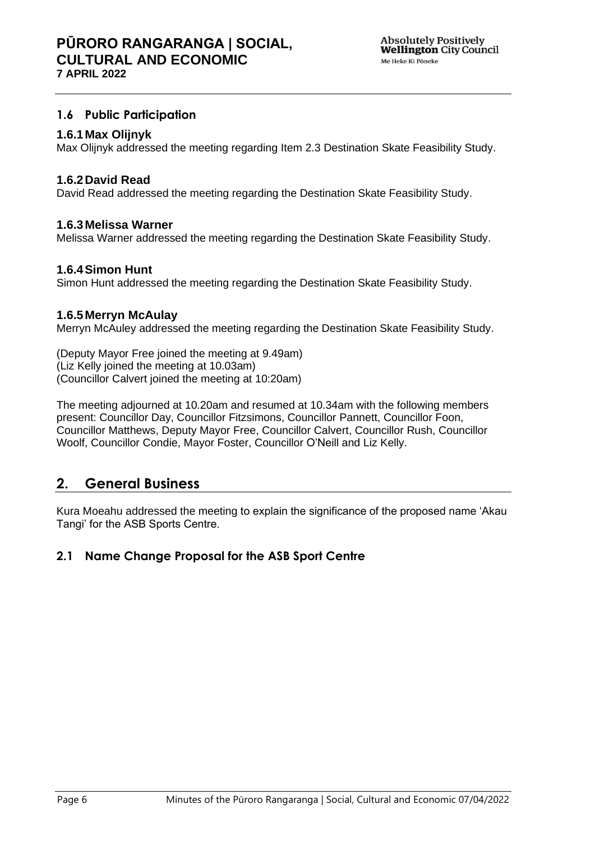# <span id="page-5-0"></span>**1.6 Public Participation**

## **1.6.1Max Olijnyk**

Max Olijnyk addressed the meeting regarding Item 2.3 Destination Skate Feasibility Study.

## **1.6.2David Read**

David Read addressed the meeting regarding the Destination Skate Feasibility Study.

## **1.6.3Melissa Warner**

Melissa Warner addressed the meeting regarding the Destination Skate Feasibility Study.

# **1.6.4Simon Hunt**

Simon Hunt addressed the meeting regarding the Destination Skate Feasibility Study.

## **1.6.5Merryn McAulay**

Merryn McAuley addressed the meeting regarding the Destination Skate Feasibility Study.

(Deputy Mayor Free joined the meeting at 9.49am) (Liz Kelly joined the meeting at 10.03am) (Councillor Calvert joined the meeting at 10:20am)

The meeting adjourned at 10.20am and resumed at 10.34am with the following members present: Councillor Day, Councillor Fitzsimons, Councillor Pannett, Councillor Foon, Councillor Matthews, Deputy Mayor Free, Councillor Calvert, Councillor Rush, Councillor Woolf, Councillor Condie, Mayor Foster, Councillor O'Neill and Liz Kelly.

# <span id="page-5-1"></span>**2. General Business**

Kura Moeahu addressed the meeting to explain the significance of the proposed name 'Akau Tangi' for the ASB Sports Centre.

# <span id="page-5-2"></span>**2.1 Name Change Proposal for the ASB Sport Centre**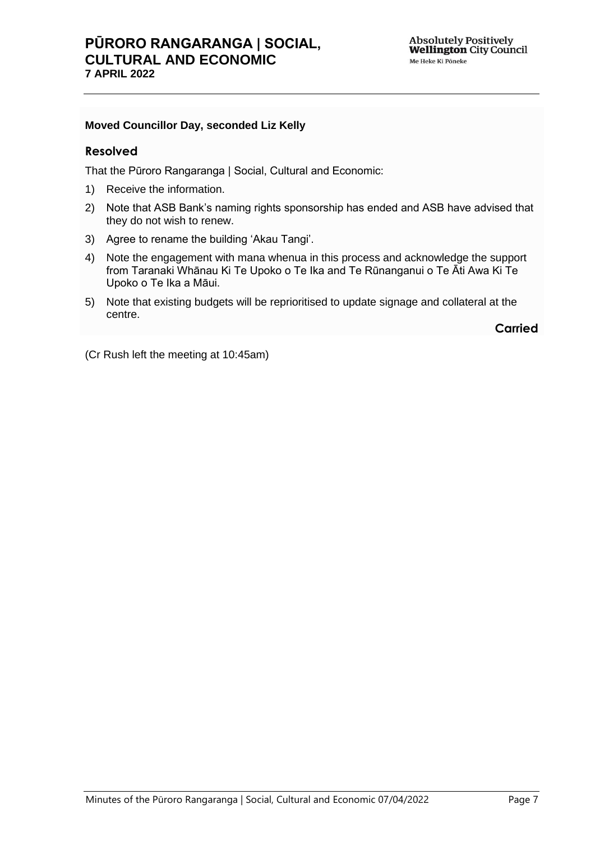# **PŪRORO RANGARANGA | SOCIAL, CULTURAL AND ECONOMIC 7 APRIL 2022**

### **Moved Councillor Day, seconded Liz Kelly**

## **Resolved**

That the Pūroro Rangaranga | Social, Cultural and Economic:

- 1) Receive the information.
- 2) Note that ASB Bank's naming rights sponsorship has ended and ASB have advised that they do not wish to renew.
- 3) Agree to rename the building 'Akau Tangi'.
- 4) Note the engagement with mana whenua in this process and acknowledge the support from Taranaki Whānau Ki Te Upoko o Te Ika and Te Rūnanganui o Te Āti Awa Ki Te Upoko o Te Ika a Māui.
- 5) Note that existing budgets will be reprioritised to update signage and collateral at the centre.

**Carried**

(Cr Rush left the meeting at 10:45am)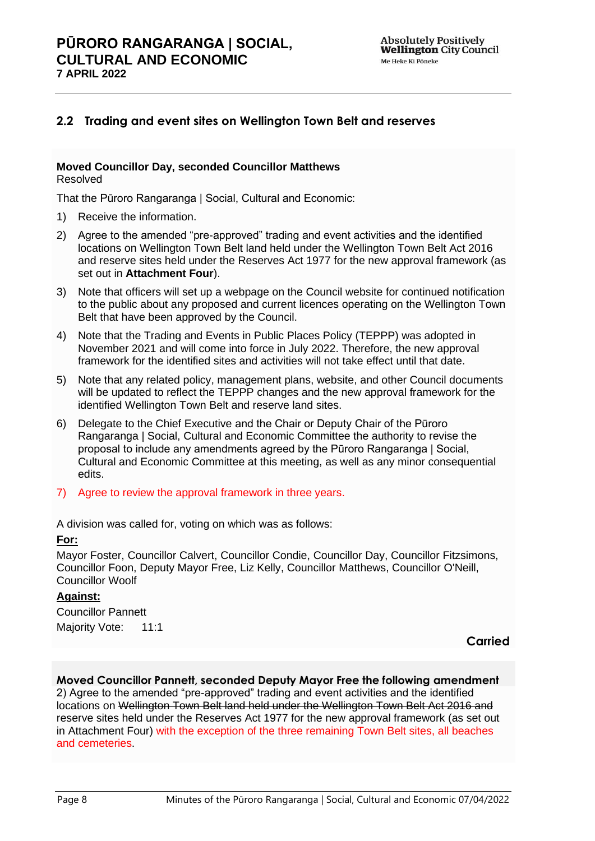# <span id="page-7-0"></span>**2.2 Trading and event sites on Wellington Town Belt and reserves**

#### **Moved Councillor Day, seconded Councillor Matthews** Resolved

That the Pūroro Rangaranga | Social, Cultural and Economic:

- 1) Receive the information.
- 2) Agree to the amended "pre-approved" trading and event activities and the identified locations on Wellington Town Belt land held under the Wellington Town Belt Act 2016 and reserve sites held under the Reserves Act 1977 for the new approval framework (as set out in **Attachment Four**).
- 3) Note that officers will set up a webpage on the Council website for continued notification to the public about any proposed and current licences operating on the Wellington Town Belt that have been approved by the Council.
- 4) Note that the Trading and Events in Public Places Policy (TEPPP) was adopted in November 2021 and will come into force in July 2022. Therefore, the new approval framework for the identified sites and activities will not take effect until that date.
- 5) Note that any related policy, management plans, website, and other Council documents will be updated to reflect the TEPPP changes and the new approval framework for the identified Wellington Town Belt and reserve land sites.
- 6) Delegate to the Chief Executive and the Chair or Deputy Chair of the Pūroro Rangaranga | Social, Cultural and Economic Committee the authority to revise the proposal to include any amendments agreed by the Pūroro Rangaranga | Social, Cultural and Economic Committee at this meeting, as well as any minor consequential edits.
- 7) Agree to review the approval framework in three years.

A division was called for, voting on which was as follows:

#### **For:**

Mayor Foster, Councillor Calvert, Councillor Condie, Councillor Day, Councillor Fitzsimons, Councillor Foon, Deputy Mayor Free, Liz Kelly, Councillor Matthews, Councillor O'Neill, Councillor Woolf

# **Against:**

Councillor Pannett Majority Vote: 11:1

**Carried**

#### **Moved Councillor Pannett, seconded Deputy Mayor Free the following amendment**

2) Agree to the amended "pre-approved" trading and event activities and the identified locations on Wellington Town Belt land held under the Wellington Town Belt Act 2016 and reserve sites held under the Reserves Act 1977 for the new approval framework (as set out in Attachment Four) with the exception of the three remaining Town Belt sites, all beaches and cemeteries.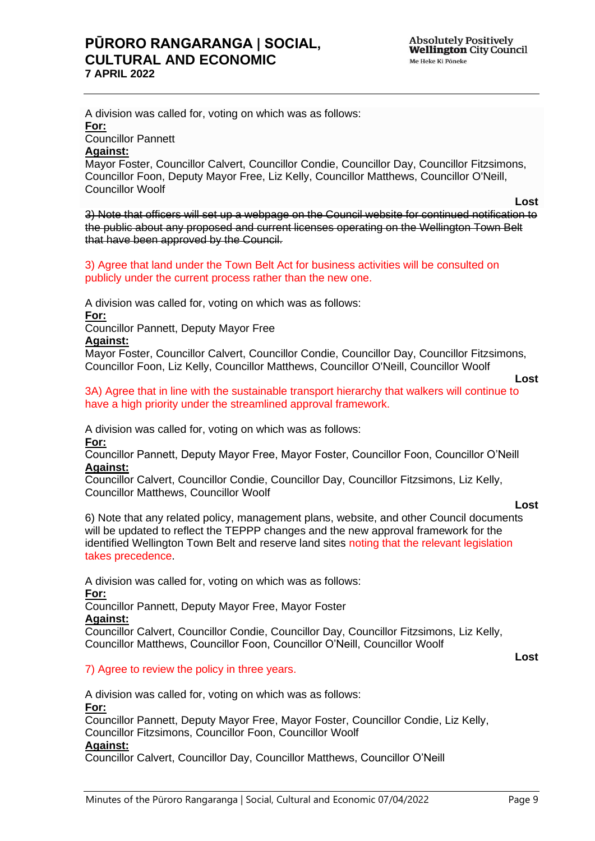A division was called for, voting on which was as follows: **For:**

Councillor Pannett

#### **Against:**

Mayor Foster, Councillor Calvert, Councillor Condie, Councillor Day, Councillor Fitzsimons, Councillor Foon, Deputy Mayor Free, Liz Kelly, Councillor Matthews, Councillor O'Neill, Councillor Woolf

3) Note that officers will set up a webpage on the Council website for continued notification to the public about any proposed and current licenses operating on the Wellington Town Belt that have been approved by the Council.

3) Agree that land under the Town Belt Act for business activities will be consulted on publicly under the current process rather than the new one.

A division was called for, voting on which was as follows: **For:**

Councillor Pannett, Deputy Mayor Free

#### **Against:**

Mayor Foster, Councillor Calvert, Councillor Condie, Councillor Day, Councillor Fitzsimons, Councillor Foon, Liz Kelly, Councillor Matthews, Councillor O'Neill, Councillor Woolf

```
Lost
```
**Lost**

3A) Agree that in line with the sustainable transport hierarchy that walkers will continue to have a high priority under the streamlined approval framework.

A division was called for, voting on which was as follows:

**For:**

Councillor Pannett, Deputy Mayor Free, Mayor Foster, Councillor Foon, Councillor O'Neill **Against:**

Councillor Calvert, Councillor Condie, Councillor Day, Councillor Fitzsimons, Liz Kelly, Councillor Matthews, Councillor Woolf

6) Note that any related policy, management plans, website, and other Council documents will be updated to reflect the TEPPP changes and the new approval framework for the identified Wellington Town Belt and reserve land sites noting that the relevant legislation takes precedence.

A division was called for, voting on which was as follows: **For:**

Councillor Pannett, Deputy Mayor Free, Mayor Foster **Against:**

Councillor Calvert, Councillor Condie, Councillor Day, Councillor Fitzsimons, Liz Kelly, Councillor Matthews, Councillor Foon, Councillor O'Neill, Councillor Woolf

**Lost**

#### 7) Agree to review the policy in three years.

A division was called for, voting on which was as follows:

#### **For:**

Councillor Pannett, Deputy Mayor Free, Mayor Foster, Councillor Condie, Liz Kelly, Councillor Fitzsimons, Councillor Foon, Councillor Woolf

# **Against:**

Councillor Calvert, Councillor Day, Councillor Matthews, Councillor O'Neill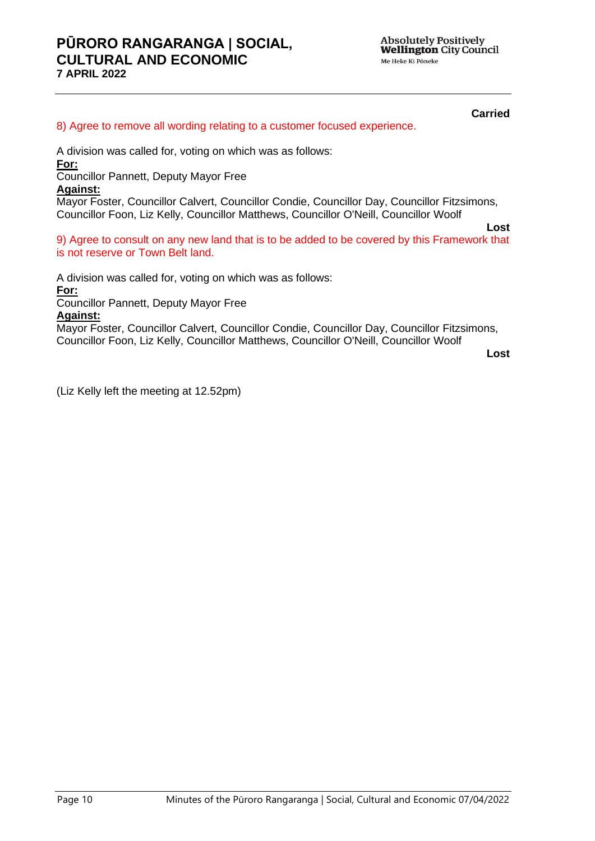**Carried** 

#### 8) Agree to remove all wording relating to a customer focused experience.

A division was called for, voting on which was as follows: **For:**

Councillor Pannett, Deputy Mayor Free

#### **Against:**

Mayor Foster, Councillor Calvert, Councillor Condie, Councillor Day, Councillor Fitzsimons, Councillor Foon, Liz Kelly, Councillor Matthews, Councillor O'Neill, Councillor Woolf

9) Agree to consult on any new land that is to be added to be covered by this Framework that is not reserve or Town Belt land.

A division was called for, voting on which was as follows:

**For:**

Councillor Pannett, Deputy Mayor Free

#### **Against:**

Mayor Foster, Councillor Calvert, Councillor Condie, Councillor Day, Councillor Fitzsimons, Councillor Foon, Liz Kelly, Councillor Matthews, Councillor O'Neill, Councillor Woolf

**Lost**

**Lost**

(Liz Kelly left the meeting at 12.52pm)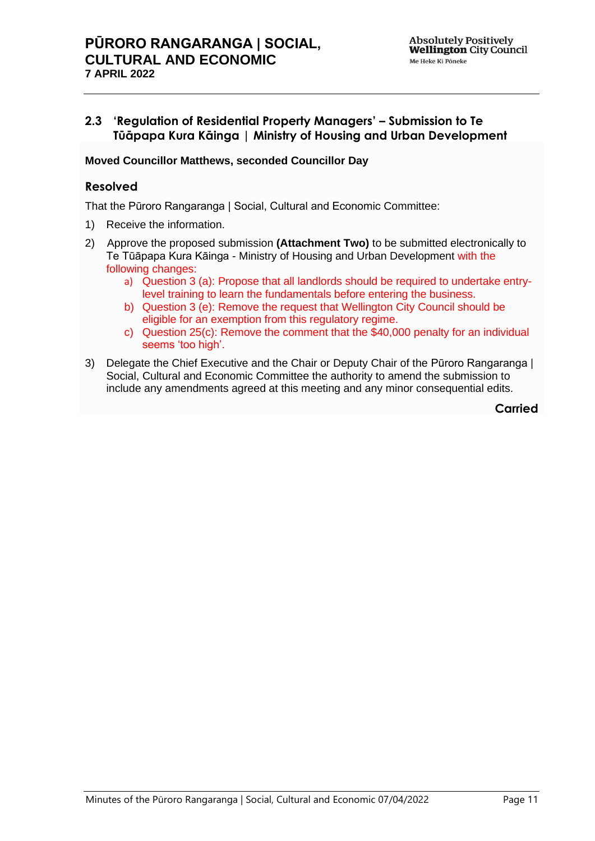# <span id="page-10-0"></span>**2.3 'Regulation of Residential Property Managers' – Submission to Te Tūāpapa Kura Kāinga | Ministry of Housing and Urban Development**

## **Moved Councillor Matthews, seconded Councillor Day**

# **Resolved**

That the Pūroro Rangaranga | Social, Cultural and Economic Committee:

- 1) Receive the information.
- 2) Approve the proposed submission **(Attachment Two)** to be submitted electronically to Te Tūāpapa Kura Kāinga - Ministry of Housing and Urban Development with the following changes:
	- a) Question 3 (a): Propose that all landlords should be required to undertake entrylevel training to learn the fundamentals before entering the business.
	- b) Question 3 (e): Remove the request that Wellington City Council should be eligible for an exemption from this regulatory regime.
	- c) Question 25(c): Remove the comment that the \$40,000 penalty for an individual seems 'too high'.
- 3) Delegate the Chief Executive and the Chair or Deputy Chair of the Pūroro Rangaranga | Social, Cultural and Economic Committee the authority to amend the submission to include any amendments agreed at this meeting and any minor consequential edits.

**Carried**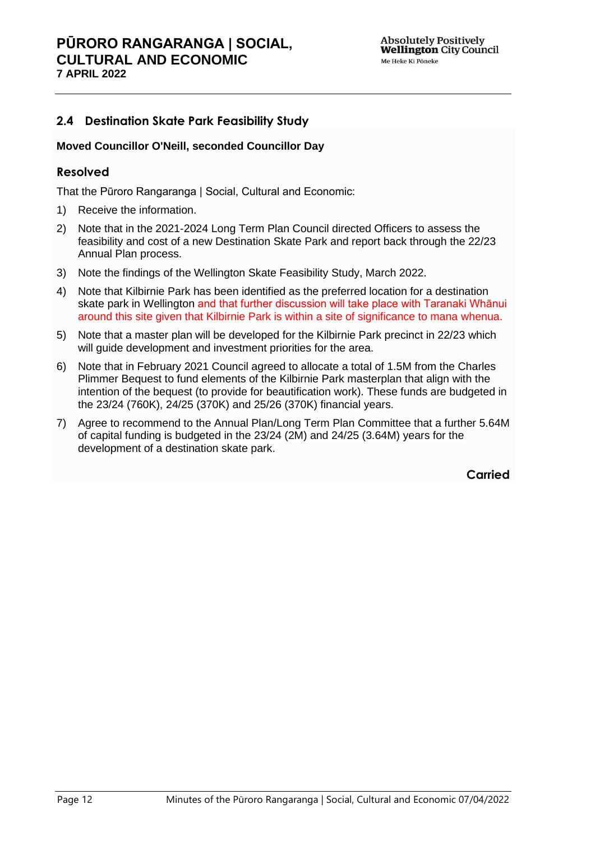# <span id="page-11-0"></span>**2.4 Destination Skate Park Feasibility Study**

### **Moved Councillor O'Neill, seconded Councillor Day**

## **Resolved**

That the Pūroro Rangaranga | Social, Cultural and Economic:

- 1) Receive the information.
- 2) Note that in the 2021-2024 Long Term Plan Council directed Officers to assess the feasibility and cost of a new Destination Skate Park and report back through the 22/23 Annual Plan process.
- 3) Note the findings of the Wellington Skate Feasibility Study, March 2022.
- 4) Note that Kilbirnie Park has been identified as the preferred location for a destination skate park in Wellington and that further discussion will take place with Taranaki Whānui around this site given that Kilbirnie Park is within a site of significance to mana whenua.
- 5) Note that a master plan will be developed for the Kilbirnie Park precinct in 22/23 which will guide development and investment priorities for the area.
- 6) Note that in February 2021 Council agreed to allocate a total of 1.5M from the Charles Plimmer Bequest to fund elements of the Kilbirnie Park masterplan that align with the intention of the bequest (to provide for beautification work). These funds are budgeted in the 23/24 (760K), 24/25 (370K) and 25/26 (370K) financial years.
- 7) Agree to recommend to the Annual Plan/Long Term Plan Committee that a further 5.64M of capital funding is budgeted in the 23/24 (2M) and 24/25 (3.64M) years for the development of a destination skate park.

**Carried**